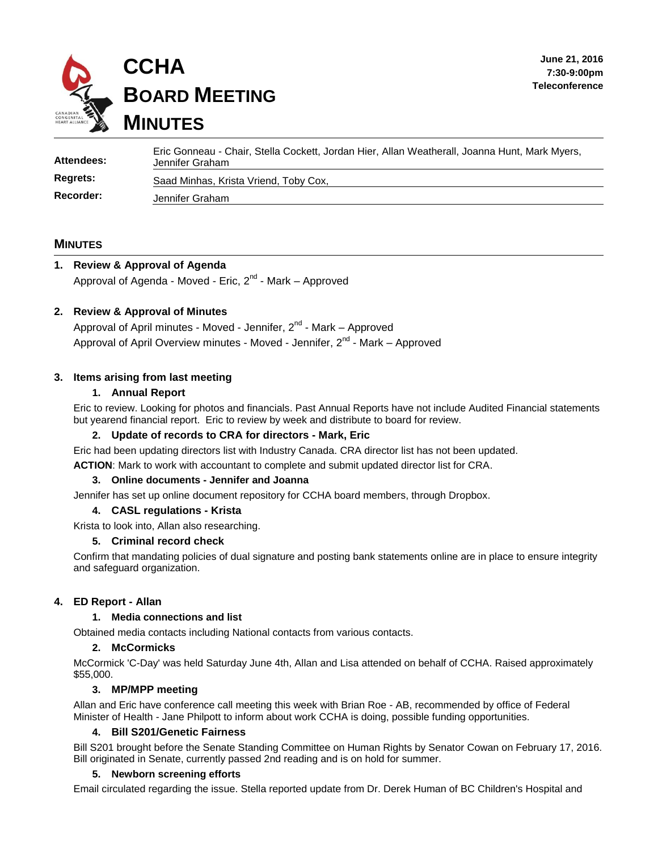

| <b>Attendees:</b> | Eric Gonneau - Chair, Stella Cockett, Jordan Hier, Allan Weatherall, Joanna Hunt, Mark Myers,<br>Jennifer Graham |
|-------------------|------------------------------------------------------------------------------------------------------------------|
| <b>Regrets:</b>   | Saad Minhas, Krista Vriend, Toby Cox,                                                                            |
| Recorder:         | Jennifer Graham                                                                                                  |

### **MINUTES**

# **1. Review & Approval of Agenda** Approval of Agenda - Moved - Eric, 2<sup>nd</sup> - Mark – Approved

### **2. Review & Approval of Minutes**

Approval of April minutes - Moved - Jennifer, 2<sup>nd</sup> - Mark – Approved Approval of April Overview minutes - Moved - Jennifer, 2<sup>nd</sup> - Mark – Approved

### **3. Items arising from last meeting**

### **1. Annual Report**

Eric to review. Looking for photos and financials. Past Annual Reports have not include Audited Financial statements but yearend financial report. Eric to review by week and distribute to board for review.

### **2. Update of records to CRA for directors - Mark, Eric**

Eric had been updating directors list with Industry Canada. CRA director list has not been updated.

**ACTION**: Mark to work with accountant to complete and submit updated director list for CRA.

### **3. Online documents - Jennifer and Joanna**

Jennifer has set up online document repository for CCHA board members, through Dropbox.

#### **4. CASL regulations - Krista**

Krista to look into, Allan also researching.

### **5. Criminal record check**

Confirm that mandating policies of dual signature and posting bank statements online are in place to ensure integrity and safeguard organization.

### **4. ED Report - Allan**

### **1. Media connections and list**

Obtained media contacts including National contacts from various contacts.

### **2. McCormicks**

McCormick 'C-Day' was held Saturday June 4th, Allan and Lisa attended on behalf of CCHA. Raised approximately \$55,000.

### **3. MP/MPP meeting**

Allan and Eric have conference call meeting this week with Brian Roe - AB, recommended by office of Federal Minister of Health - Jane Philpott to inform about work CCHA is doing, possible funding opportunities.

### **4. Bill S201/Genetic Fairness**

Bill S201 brought before the Senate Standing Committee on Human Rights by Senator Cowan on February 17, 2016. Bill originated in Senate, currently passed 2nd reading and is on hold for summer.

#### **5. Newborn screening efforts**

Email circulated regarding the issue. Stella reported update from Dr. Derek Human of BC Children's Hospital and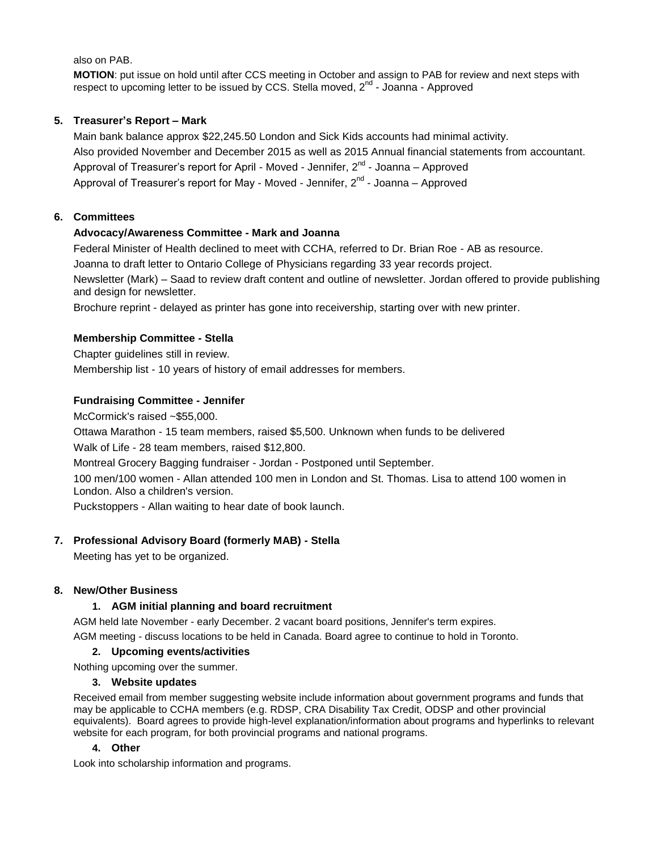also on PAB.

**MOTION**: put issue on hold until after CCS meeting in October and assign to PAB for review and next steps with respect to upcoming letter to be issued by CCS. Stella moved, 2<sup>nd</sup> - Joanna - Approved

# **5. Treasurer's Report – Mark**

Main bank balance approx \$22,245.50 London and Sick Kids accounts had minimal activity. Also provided November and December 2015 as well as 2015 Annual financial statements from accountant. Approval of Treasurer's report for April - Moved - Jennifer, 2<sup>nd</sup> - Joanna – Approved Approval of Treasurer's report for May - Moved - Jennifer, 2<sup>nd</sup> - Joanna – Approved

# **6. Committees**

# **Advocacy/Awareness Committee - Mark and Joanna**

Federal Minister of Health declined to meet with CCHA, referred to Dr. Brian Roe - AB as resource.

Joanna to draft letter to Ontario College of Physicians regarding 33 year records project.

Newsletter (Mark) – Saad to review draft content and outline of newsletter. Jordan offered to provide publishing and design for newsletter.

Brochure reprint - delayed as printer has gone into receivership, starting over with new printer.

# **Membership Committee - Stella**

Chapter guidelines still in review.

Membership list - 10 years of history of email addresses for members.

# **Fundraising Committee - Jennifer**

McCormick's raised ~\$55,000.

Ottawa Marathon - 15 team members, raised \$5,500. Unknown when funds to be delivered

Walk of Life - 28 team members, raised \$12,800.

Montreal Grocery Bagging fundraiser - Jordan - Postponed until September.

100 men/100 women - Allan attended 100 men in London and St. Thomas. Lisa to attend 100 women in London. Also a children's version.

Puckstoppers - Allan waiting to hear date of book launch.

# **7. Professional Advisory Board (formerly MAB) - Stella**

Meeting has yet to be organized.

# **8. New/Other Business**

# **1. AGM initial planning and board recruitment**

AGM held late November - early December. 2 vacant board positions, Jennifer's term expires.

AGM meeting - discuss locations to be held in Canada. Board agree to continue to hold in Toronto.

# **2. Upcoming events/activities**

Nothing upcoming over the summer.

# **3. Website updates**

Received email from member suggesting website include information about government programs and funds that may be applicable to CCHA members (e.g. RDSP, CRA Disability Tax Credit, ODSP and other provincial equivalents). Board agrees to provide high-level explanation/information about programs and hyperlinks to relevant website for each program, for both provincial programs and national programs.

# **4. Other**

Look into scholarship information and programs.